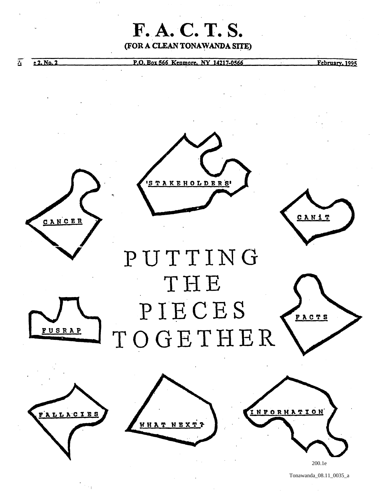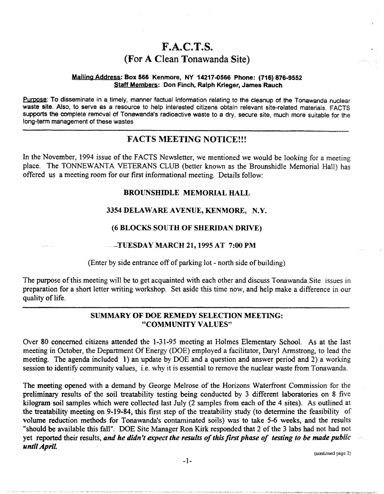# $F.A.C.T.S.$ (For A Clean Tonawanda Site)

#### Mailing Address: Box 566 Kenmore, NY 14217-0566 Phone: (716) 876-9552 Staff Members: Don Finch, Ralph Krieger, James Rauch

Purpose: To disseminate in a timely, manner factual information relating to the cleanup of the Tonawanda nuclear waste site. Also, to serve as a resource to help interested citizens obtain relevant site-related materials. FACTS supports the complete removal of Tonawanda's radioactive waste to a dry, secure site, much more suitable for the long-term management of these wastes

# FACTS MEETING NOTICE!!!

In the November, 1994 issue of the FACTS Newsletter, we mentioned we would be looking for a meeting place. The TONNEWANTA VETERANS CLUB (better known as the Brounshidle Memorial Hall) has offered us a meeting room for our first informationa1 meeting. Details follow:

# BROUNSHIDLE MEMORIAL HALL

# 3354 DELAWARE A VENUE, KENMORE, N.Y.

# (6 BLOCKS SOUTH OF SHERIDAN DRIVE)

#### .. ~TUESDA¥ MARCH 21, 1995 AT 7:00 PM

(Enter by side entrance off of parking lot - north side of building)

The purpose ofthis meeting will be to get acquainted with each other and discuss Tonawanda Site issues in preparation for a short letter writing workshop. Set aside this time now, and help make a difference in our quality of life.

# SUMMARY OF DOE REMEDY SELECTION MEETING: "COMMUNITY VALUES"

Over 80 concerned citizens attended the 1-31-95 meeting at Holmes Elementary School. As at the last meeting in October, the Department Of Energy (DOE) employed a facilitator, Daryl Armstrong, to lead the meeting. The agenda included 1) an update by DOE and a question and answer period and 2) a working session to identify community values, i.e. why it is essential to remove the nuclear waste from Tonawanda.

The meeting opened with a demand by George Melrose of the Horizons Waterfront Commission for the preliminary results of the soil treatability testing being conducted by 3 different laboratories on 8 five kilogram soil samples which were collected last July (2 samples from each of the 4 sites). As outlined at the treatability meeting on 9-19-84, this first step of the treatability study (to detennine the feasibility of volume reduction methods for Tonawanda's contaminated soils) was to take 5-6 weeks, and the results "should be available this fall". DOE Site Manager Ron Kirk responded that 2 of the 3 labs had not had not yet reported their results, *and he didn't expect the results of this first phase of testing to be made public until ApriL* 

(continued page 2)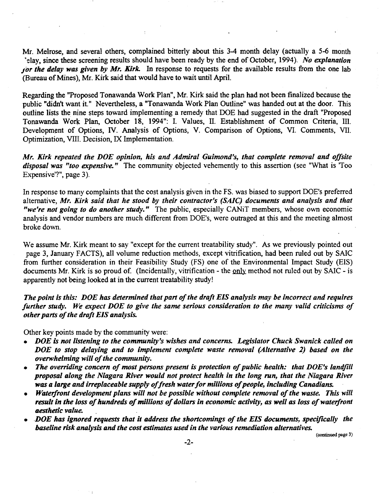Mr. Melrose, and several others, complained bitterly about this 3-4 month delay (actually a 5-6 month 'elay, since these screening results should have been ready by the end of October, 1994). *No explanation*  jor the delay was given by Mr. Kirk. In response to requests for the available results from the one lab (Bureau of Mines), Mr. Kirk said that would have to wait until April.

Regarding the "Proposed Tonawanda Work Plan", Mr. Kirk said the plan had not been finalized because the public "didn't want it." Nevertheless, a "Tonawanda Work Plan Outline" was handed out at the door. This outline lists the nine steps toward implementing a remedy that DOE had suggested in the draft "Proposed Tonawanda Work Plan, October 18, 1994": I. Values, II. Establishment of Common Criteria, III. Development of Options, IV. Analysis of Options, V. Comparison of Options, VI. Comments, VII. Optimization, VITI. Decision, IX Implementation.

*Mr. Kirk repeated the DOE opinion, his and Admiral Guimond's, that complete removal and of/site disposal was "too expensive."* The community objected vehemently to this assertion (see "What is 'Too Expensive'?", page 3).

In response to many complaints that the cost analysis given in the FS. was biased to support DOE's preferred alternative, *Mr. Kirk said that he stood by their contractor's (SAlC) documents and analysis and that "we're not going to do another study."* The public, especially CANiT members, whose own economic analysis and vendor numbers are much different from DOE's, were outraged at this and the meeting almost broke down.

We assume Mr. Kirk meant to say "except for the current treatability study". As we previously pointed out page 3, January FACTS), all volume reduction methods, except vitrification, had been ruled out by SAlC from further consideration in their Feasibility Study (FS) one of the Environmental Impact Study (EIS) documents Mr. Kirk is so proud of. (Incidentally, vitrification - the only method not ruled out by SAIC - is apparently not being looked at in the current treatability study!

*The point is this: DOE has determined that part of the draft EIS analysis nuzy be incorrect and requires further study. We expect DOE to give the same serious consideration to the many valid criticisms of other parts of the draft EIS analysis.* 

Other key points made by the community were:

- *DOE is not listening to the community's wishes and concerns. Legislator Chuck Swanick called on DOE to stop delaying and to implement complete waste removal (Alternative* 2) *based on the overwhelming will of the community.*
- The overriding concern of most persons present is protection of public health: that DOE's landfill *proposal along the Niagara River would not protect health in the long run, that the Niagara River was a large and irreplaceable supply of fresh water for millions of people, including Canadians.*
- *Waterfront development plans will not be possible without complete removal of the waste. This will result in the loss of hundreds of millions of dollars in economic activity, as well as loss of waterfront aesthetic value.*
- *.DOE has ignored requests that it address the shortcomings of the EIS documents, specifically the baseline risk analysis and the cost estimates used in the various remediation alternatives.*

(continued page 3)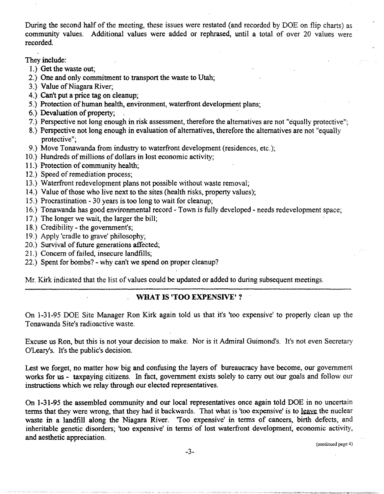During the second half of the meeting, these issues were restated (and recorded by DOE on flip charts) as community values. Additional values were added or rephrased, until a total of over 20 values were recorded.

They include:

- L) Get the waste out;
- 2.) One and only commitment to transport the waste to Utah;
- 3.) Value of Niagara River;
- 4.) Can't put a price tag on cleanup:
- 5.) Protection of human health, environment, waterfront development plans;
- 6.) Devaluation of property; .
- 7.) Perspective not long enough in risk assessment, therefore the alternatives are not "equally protective";
- 8.) Perspective not long enough in evaluation of alternatives, therefore the alternatives are not "equally protective";
- 9.) Move Tonawanda from industry to waterfront development (residences, etc.);
- 10.) Hundreds of millions of dollars in lost economic activity;
- 11.) Protection of community health;
- 12.) Speed of remediation process;
- 13.) Waterfront redevelopment plans not possible without waste removal;
- 14.) Value of those who live next to the sites (health risks, property values);
- 15.) Procrastination 30 years is. too long to wait for cleanup;
- 16.) Tonawanda has good environmental record Town is fully developed needs redevelopment space;
- 17.) The longer we wait, the larger the bill;
- 18.) Credibility the government's;
- 19.) Apply 'cradle to grave' philosophy;
- 20.) Survival of future generations affected;
- 21.) Concern of failed, insecure landfills;
- 22.) Spent for bombs? why can't we spend on proper cleanup?

Mr. Kirk indicated that the list of values could be updated or added to during subsequent meetings.

# WHAT IS 'TOO EXPENSIVE'?

On 1-31-95 DOE Site Manager Ron Kirk again told us that it's 'too expensive' to properly clean up the Tonawanda Site's radioactive waste.

Excuse us Ron, but this is not your decision to make: Nor is it Admiral Guimond's. It's not even Secretary O'Leary's. It's the public's decision.

Lest we forget, no matter how big and confusing the layers of bureaucracy have become, our government works for us - taxpaying citizens. In fact, government exists solely to carry out our goals and follow our instructions which we relay through our elected representatives.

On 1-31-95 the assembled community and our local representatives once again told DOE in no uncertain terms that they were wrong, that they had it backwards. That what is 'too expensive' is to leave the nuclear waste in a landfill along the Niagara River. 'Too expensive' in terms of cancers, birth defects, and inheritable genetic disorders; 'too expensive' in terms of lost waterfront development, economic activity, and aesthetic appreciation.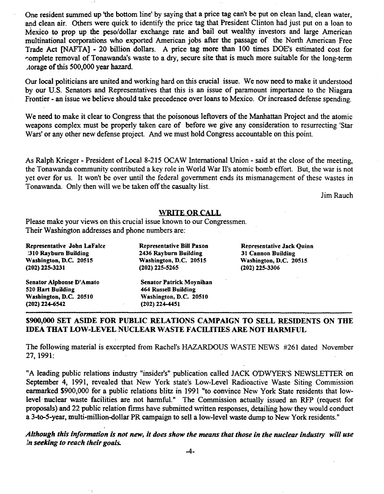One resident summed up 'the bottom line' by saying that a price tag can't be put on clean land, clean water, and clean air. Others were quick to identify the price tag that President Clinton had just put on a loan to Mexico to prop up the peso/dollar exchange rate and bail out wealthy investors and large American multinational corporations who exported American jobs after the passage of the North American Free Trade Act [NAFTA] - 20 billion dollars. A price tag more than 100 times DOE's estimated cost for complete removal of Tonawanda's waste to a dry, secure site that is much more suitable for the long-term Aorage of this 500,000 year hazard.

Our local politicians are united and working hard on this crucial issue. We now need to make it understood by our U.S. Senators and Representatives that this is an issue of paramount importance to the Niagara Frontier - an issue we believe should take precedence over loans to Mexico. Or increased defense spending.

We need to make it clear to Congress that the poisonous leftovers of the Manhattan Project and the atomic weapons complex must be properly taken care of before we give any consideration to resurrecting 'Star Wars' or any other new defense project. And we must hold Congress accountable on this point.

As Ralph Krieger - President of Local 8-215 OCAW International Union - said at the close of the meeting, the Tonawanda community contributed a key role in World War Il's atomic bomb effort. But, the war is not yet over for us. It won't be over until the federal government ends its mismanagement of these wastes in Tonawanda. Only then will we be taken off the casualty list.

Jim Rauch

#### WRITE OR CALL

Please make your views on this crucial issue known to our Congressmen. Their Washington addresses and phone numbers are:

Representative John LaFalce )310 Rayburn Building Washington, D.C. 20515 (202) 225-3231

Senator Alphonse D'Amato 520 Hart Building Washington, D.C. 20510 (202) 224-6542

Representative Bill Paxon 2436 Rayburn Building Washington, D.C. 20515 (202) 225-5265

Senator Patrick Moynihan 464 RusseU Building Washington, D.C. 20510 (202) 224-4451

Reoresentative Jack Quinn 31 Cannon Building Washington, D.C. 20515 (202) 225-3306

# 5900,000 SET ASIDE FOR PUBLIC RELATIONS CAMPAIGN TO SELL RESIDENTS ON THE IDEA THAT LOW-LEVEL NUCLEAR WASTE FACILITIES ARE NOT HARMFUL

The following material is excerpted from Rachel's HAZARDOUS WASTE NEWS #261 dated November 27, 1991:

"A leading public relations industry "insider's" publication called JACK ODWYER'S NEWSLETTER ·on September 4, 1991, revealed that New York state's Low-Level Radioactive Waste Siting Commission earmarked \$900,000 for a public relations blitz in 1991 "to convince New York State residents that lowlevel' nuclear waste facilities are not harmful." The Commission actually issued an RFP (request for proposals) and 22 public relation firms have submitted written responses, detailing how they would conduct a 3-to-5-year, multi-million-dollar PR campaign to sell a low-level waste dump to New York residents. "

*Although this in/omuztion* is *not new, it does show the means that those in the nuclear industry will use In seeking to reach their goals.*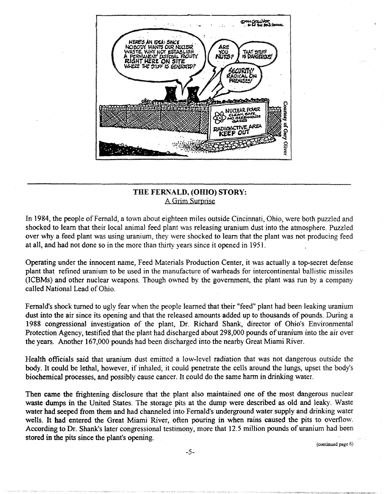$\sim$   $\sim$  $\cdot$ AN IDEA: **SINCE** ์<br>คู่นาร? **IS DANGEROUS SITE** THE STUFF IS GENERO **NUCLEAR POWER ATA** KE **ACTIVE AREA** FEP OUT Oliver

# THE FERNALD, (OHIO) STORY: A Grim Surprise

In 1984, the people of Fernald, a town about eighteen miles outside Cincinnati, Ohio, were both puzzled and shocked to learn that their local animal feed plant was releasing uranium dust into the atmosphere. Puzzled over why a feed plant was using uranium, they were shocked to learn that the plant was not producing feed at all, and had not done so in the more than thjrty years since it opened in 1951.

Operating under the innocent name, Feed Materials Production Center, it was actually a top-secret defense plant that refined uranium to be used in the manufacture of warheads for intercontinental balIistic missiles (ICBMs) and other nuclear weapons. Though owned by the government, the plant was run by a company called National Lead of Ohio.

Fernald's shock turned to ugly fear when the people learned that their "feed" plant had been leaking uranium dust into the air since its opening and that the released amounts added up to thousands of pounds. During a 1988 congressional investigation of the plant, Dr. Richard Shank, director of Ohio's Environmental Protection Agency, testified that the plant had discharged about 298,000 pounds of uranium into the air over the years. Another 167,000 pounds had been discharged into the nearby Great Miami River.

Health officials said that uranium dust emitted a low-level radiation that was not dangerous outside the body. It could be lethal, however, if inhaled; it could penetrate the cells around the lungs, upset the body's biochemical processes, and possibly cause cancer. It could do the same harm in drinking water.

Then came the frightening disclosure that the plant also maintained one of the most dangerous nuclear waste dumps in the United States. The storage pits at the dump were described as old and leaky. Waste water had seeped from them and had channeled into Fernald's underground water supply and drinking water wells. It had entered the Great Miami River, often pouring in when rains caused the pits to overflow. According to Dr. Shank's later congressional testimony, more that 12.5 million pounds of uranium had been stored in the pits since the plant's opening.

(continued page 6)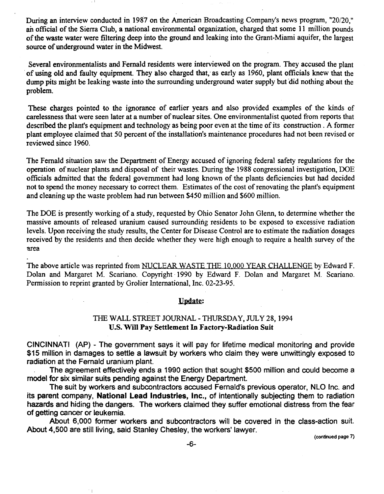During an interview conducted in 1987 on the American Broadcasting Company's news program, *"20/20,"*  an official of the Sierra Club, a national environmental organization, charged that some 11 million pounds of the waste water were filtering deep into the ground and leaking into the Grant-Miami aquifer, the largest source of underground water in the Midwest.

Several environmentalists and Fernald residents were interviewed on the program. They accused the plant of using old and faulty equipment. They also charged that; as early as 1960, plant officials knew that the dump pits might be leaking waste into the surrounding underground water supply but did nothing about the problem.

These charges pointed to the ignorance of earlier years and also provided examples of the kinds of carelessness that were seen later at a number of nuclear sites. One environmentalist quoted from reports that described the plant's equipment and technology as being poor even at the time of its construction. A former plant employee claimed that 50 percent of the installation's maintenance procedures had not been revised or reviewed since 1960.

The Fernald situation saw the Department of Energy accused of ignoring federal safety regulations for the operation of nuclear plants and disposal of their wastes. During the 1988 congressional investigation, DOE officials admitted that the federal government had long known of the plants deficiencies but had decided not to spend the money necessary to correct them. Estimates of the cost of renovating the plant's equipment and cleaning up the waste problem had run between \$450 million and \$600 million.

The DOE is presently working of a study, requested by Ohio Senator John Glenn, to determine whether the massive amounts of released uranium caused surrounding residents to be exposed to excessive radiation levels. Upon receiving the study results, the Center for Disease Control are to estimate the radiation dosages received by the residents and then decide whether they were high enough to require a health survey of the area

The above article was reprinted from NUCLEAR WASTE THE 10,000 YEAR CHALLENGE by Edward F. Dolan and Margaret M. Scariano. Copyright ·1990 by Edward F. Dolan and Margaret M. Scariano. Permission to reprint granted by Grolier International, Inc. 02-23-95.

#### Update:

# THE WALL STREET JOURNAL - THURSDAY, JULY 28, 1994 U.S. Will Pay Settlement In Factory-Radiation Suit

CINCINNATI (AP) - The government says it will pay for lifetime medical monitoring and provide \$15 million in damages to settle a lawsuit by workers who claim they were unwittingly exposed to radiation at the Fernald uranium plant.

The agreement effectively ends a 1990 action that sought \$500 million and could become a model for six similar suits pending against the Energy Department.

The suit by workers and subcontractors accused Fernald's previous operator, NLO Inc. and its parent company, National Lead Industries, Inc., of intentionally subjecting them to radiation hazards and hiding the dangers. The workers claimed they suffer emotional distress from the fear of getting cancer or leukemia.

About 6,000 former workers and subcontractors will be covered in the class-action suit. About 4,500 are still living, said Stanley Chesley, the workers' lawyer.

(continued page 7)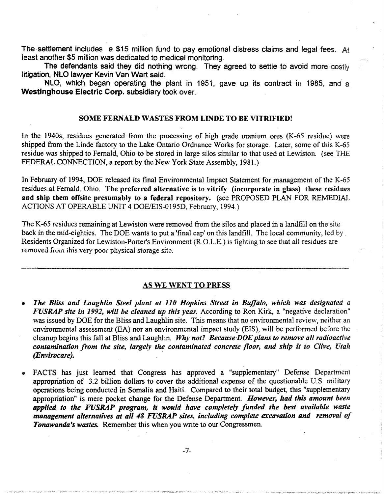The settlement includes a \$15 million fund to pay emotional distress claims and legal fees. At least another \$5 million was dedicated to medical monitoring.

The defendants said they did nothing wrong. They agreed to settle to avoid more costly litigation, NLO lawyer Kevin Van Wart said.

NLO, which began operating the plant in 1951, gave up its contract in 1985, and a Westinghouse Electric Corp. subsidiary took over.

#### SOME FERNALD WASTES FROM LINDE TO BE VITRIFIED!

In the 1940s, residues generated from the processing of high grade uranium ores (K-65 residue) were shipped from the Linde factory to the Lake Ontario Ordnance Works for storage. Later, some of this K-65 residue was shipped to Fernald, Ohio to be stored in large silos similar to that used at Lewiston. (see THE FEDERAL CONNECTION, a report by the New York State Assembly, 1981.)

In February of 1994, DOE released its final Environmental Impact Statement for management of the K-65 residues.at Fernald, Ohio. The preferred alternative is to vitrify (incorporate in glass) these residues and ship them offsite presumably to a federal repository. (see PROPOSED PLAN FOR REMEDIAL ACTIONS AT OPERABLE UNIT 4 DOE/EIS-0195D, February, 1994.)

The K-65 residues remaining at Lewiston were removed from the silos and placed in a landfill on the site back in the mid-eighties. The DOE wants to put a 'final cap' on this landfill. The local community, led by Residents Organized for Lewiston-Porter's Environment (R.O.L.E.) is fighting to see that all residues are removed from this very poor physical storage site.

#### AS WE WENT TO PRESS

- *The Bliss and Laughlin Steel plant at 110 Hopkins Street in Buffalo, which was designated a FUSRAP site in* 1992, *will be cleaned up this year.* According to Ron Kirk, a "negative declaration" was issued by DOE for the Bliss and Laughlin site. This means that no environmental review, neither an environmental assessment (EA) nor an environmental impact study (EIS), will be performed before the cleanup begins this fall at Bliss and Laughlin. *Why not? Because·DOE plans to remove all radioactive contamination from the site, largely the contaminated concrete floor, and ship it to Clive, Utah (l!nvirocare). .*
- FACTS has just learned that Congress has approved a "supplementary" Defense Department appropriation of 3.2 billion dollars to cover the additional expense of the questionable U.S. military operations being conducted in Somalia and Haiti. Compared to their total budget, this "supplementary appropriation" is mere pocket change for the Defense Department. *However, had this amount been applied to the FUSRAP program, it would have completely funded the best available waste management alternatives at all 48 FUSRAP sites, including complete excavation and removal of Tonawanda's wastes.* Remember this when you write to our Congressmen.

-7-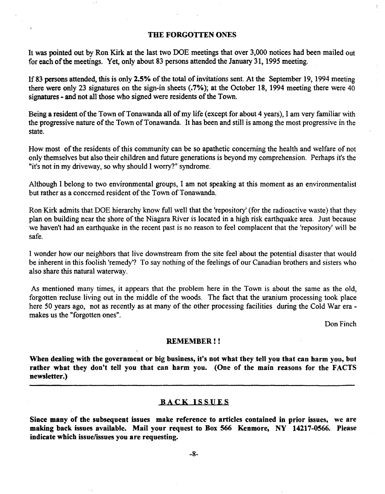#### THE FORGOTTEN ONES

It was pointed out by Ron Kirk at the last two DOE meetings that over 3,000 notices had been mailed out for each of the meetings. Yet, only about 83 persons attended the January 31, 1995 meeting.

If 83 persons attended, this is only 2.5% of the total of invitations sent. At the September 19, 1994 meeting there were only 23 signatures on the sign-in sheets  $(0.7\%)$ ; at the October 18, 1994 meeting there were 40 signatures - and not all those who signed were residents of the Town.

Being a resident of the Town of Tonawanda all of my life (except for about 4 years), I am very familiar with the progressive nature of the Town of Tonawanda. It has been and still is among the most progressive in the state.

How most of the residents of this community can be so apathetic concerning the health and welfare of not only themselves but also their children and future generations is beyond my comprehension. Perhaps it's the "it's not in my driveway, so why should I worry?" syndrome.

Although I belong to two environmental groups, I am not speaking at this moment as an environmentalist but rather as a concerned resident of the Town of Tonawanda.

Ron Kirk admits that DOE hierarchy know full well that the 'repository' (for the radioactive waste) that they plan on building near the shore of the Niagara River is located in a high risk earthquake area. Just because we haven't had an earthquake in the recent past is no reason to feel complacent that the 'repository' wilJ be safe.

I wonder how our neighbors that live downstream from the site feel-about the potential disaster that would be inherent in this foolish 'remedy'? To say nothing of the feelings of our Canadian brothers and sisters who also share this natural waterway.

As mentioned many times, it appears that the problem here in the Town is about the same as the old, forgotten recluse living out in the middle of the woods. The fact that the uranium processing took place here 50 years ago, not as recently as at many of the other processing facilities during the Cold War era makes us the "forgotten ones".

Don Finch

#### REMEMBER! !

When dealing with the government or big business, it's not what they tell you that can harm you, but rather what they don't tell you that can harm you. (One of the main reasons for the FACTS newsletter.)

#### BACK ISSUES

Since many of the subsequent issues make reference to articles contained in prior issues, we are making back issues available. Mail your request to Box 566 Kenmore, NY 14217-0566. Please indicate which issue/issues you are requesting.